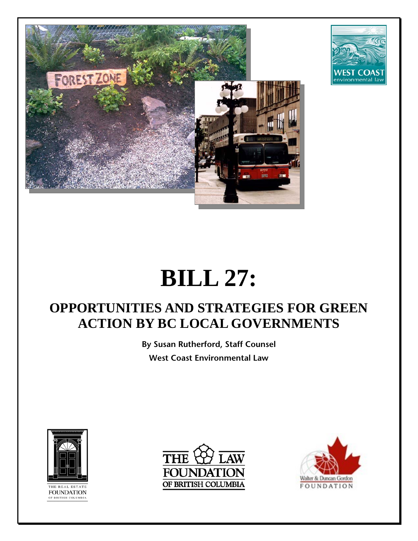



# **BILL 27:**

# **OPPORTUNITIES AND STRATEGIES FOR GREEN ACTION BY BC LOCAL GOVERNMENTS**

**By Susan Rutherford, Staff Counsel West Coast Environmental Law**



**FOUNDATION** F BRITISH COLUMBI



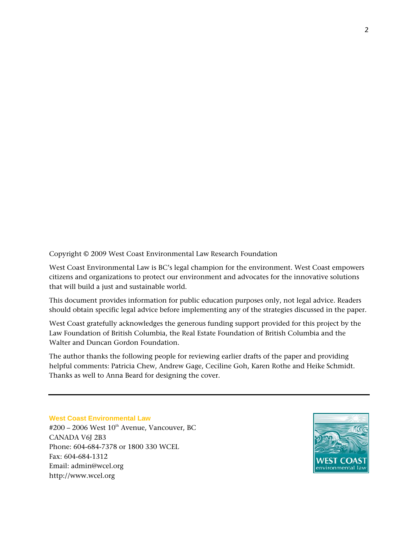Copyright © 2009 West Coast Environmental Law Research Foundation

West Coast Environmental Law is BC's legal champion for the environment. West Coast empowers citizens and organizations to protect our environment and advocates for the innovative solutions that will build a just and sustainable world.

This document provides information for public education purposes only, not legal advice. Readers should obtain specific legal advice before implementing any of the strategies discussed in the paper.

West Coast gratefully acknowledges the generous funding support provided for this project by the Law Foundation of British Columbia, the Real Estate Foundation of British Columbia and the Walter and Duncan Gordon Foundation.

The author thanks the following people for reviewing earlier drafts of the paper and providing helpful comments: Patricia Chew, Andrew Gage, Ceciline Goh, Karen Rothe and Heike Schmidt. Thanks as well to Anna Beard for designing the cover.

#### **West Coast Environmental Law**

 $#200 - 2006$  West  $10<sup>th</sup>$  Avenue, Vancouver, BC CANADA V6J 2B3 Phone: 604-684-7378 or 1800 330 WCEL Fax: 604-684-1312 Email: [admin@wcel.org](mailto:admin@wcel.org)  [http://www.wcel.org](http://www.wcel.org/) 

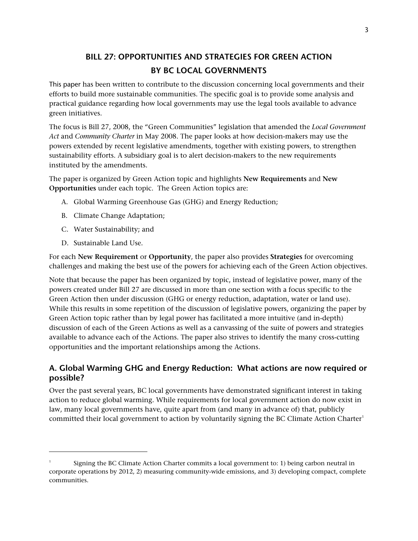# **BILL 27: OPPORTUNITIES AND STRATEGIES FOR GREEN ACTION BY BC LOCAL GOVERNMENTS**

This paper has been written to contribute to the discussion concerning local governments and their efforts to build more sustainable communities. The specific goal is to provide some analysis and practical guidance regarding how local governments may use the legal tools available to advance green initiatives.

The focus is Bill 27, 2008, the "Green Communities" legislation that amended the *Local Government Act* and *Community Charter* in May 2008. The paper looks at how decision-makers may use the powers extended by recent legislative amendments, together with existing powers, to strengthen sustainability efforts. A subsidiary goal is to alert decision-makers to the new requirements instituted by the amendments.

The paper is organized by Green Action topic and highlights **New Requirements** and **New Opportunities** under each topic. The Green Action topics are:

- A. Global Warming Greenhouse Gas (GHG) and Energy Reduction;
- B. Climate Change Adaptation;
- C. Water Sustainability; and
- D. Sustainable Land Use.

-

For each **New Requirement** or **Opportunity**, the paper also provides **Strategies** for overcoming challenges and making the best use of the powers for achieving each of the Green Action objectives.

Note that because the paper has been organized by topic, instead of legislative power, many of the powers created under Bill 27 are discussed in more than one section with a focus specific to the Green Action then under discussion (GHG or energy reduction, adaptation, water or land use). While this results in some repetition of the discussion of legislative powers, organizing the paper by Green Action topic rather than by legal power has facilitated a more intuitive (and in-depth) discussion of each of the Green Actions as well as a canvassing of the suite of powers and strategies available to advance each of the Actions. The paper also strives to identify the many cross-cutting opportunities and the important relationships among the Actions.

# **A. Global Warming GHG and Energy Reduction: What actions are now required or possible?**

Over the past several years, BC local governments have demonstrated significant interest in taking action to reduce global warming. While requirements for local government action do now exist in law, many local governments have, quite apart from (and many in advance of) that, publicly committed their local government to action by voluntarily signing the BC Climate Action Charter<sup>[1](#page-2-0)</sup>

<span id="page-2-0"></span><sup>1</sup> Signing the BC Climate Action Charter commits a local government to: 1) being carbon neutral in corporate operations by 2012, 2) measuring community-wide emissions, and 3) developing compact, complete communities.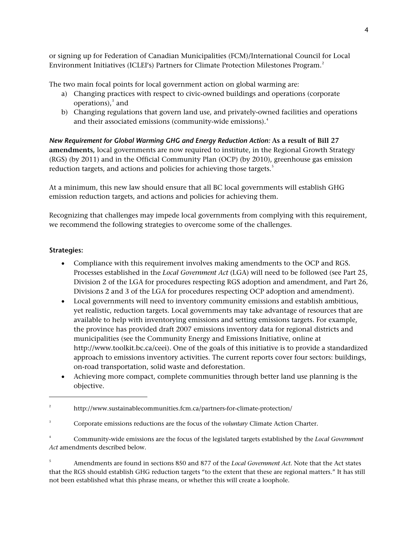or signing up for Federation of Canadian Municipalities (FCM)/International Council for Local Environment Initiatives (ICLEI's) Partners for Climate Protection Milestones Program.[2](#page-3-0)

The two main focal points for local government action on global warming are:

- a) Changing practices with respect to civic-owned buildings and operations (corporate operations), $3$  and
- b) Changing regulations that govern land use, and privately-owned facilities and operations and their associated emissions (community-wide emissions). $^4$  $^4$

*New Requirement for Global Warming GHG and Energy Reduction Action:* **As a result of Bill 27 amendments,** local governments are now required to institute, in the Regional Growth Strategy (RGS) (by 2011) and in the Official Community Plan (OCP) (by 2010), greenhouse gas emission reduction targets, and actions and policies for achieving those targets.<sup>[5](#page-3-3)</sup>

At a minimum, this new law should ensure that all BC local governments will establish GHG emission reduction targets, and actions and policies for achieving them.

Recognizing that challenges may impede local governments from complying with this requirement, we recommend the following strategies to overcome some of the challenges.

#### **Strategies:**

-

- Compliance with this requirement involves making amendments to the OCP and RGS. Processes established in the *Local Government Act* (LGA) will need to be followed (see Part 25, Division 2 of the LGA for procedures respecting RGS adoption and amendment, and Part 26, Divisions 2 and 3 of the LGA for procedures respecting OCP adoption and amendment).
- Local governments will need to inventory community emissions and establish ambitious, yet realistic, reduction targets. Local governments may take advantage of resources that are available to help with inventorying emissions and setting emissions targets. For example, the province has provided draft 2007 emissions inventory data for regional districts and municipalities (see the Community Energy and Emissions Initiative, online at [http://www.toolkit.bc.ca/ceei\)](http://www.toolkit.bc.ca/ceei). One of the goals of this initiative is to provide a standardized approach to emissions inventory activities. The current reports cover four sectors: buildings, on-road transportation, solid waste and deforestation.
- Achieving more compact, complete communities through better land use planning is the objective.

<span id="page-3-3"></span>5 Amendments are found in sections 850 and 877 of the *Local Government Act*. Note that the Act states that the RGS should establish GHG reduction targets "to the extent that these are regional matters." It has still not been established what this phrase means, or whether this will create a loophole.

<span id="page-3-0"></span><sup>2</sup> http://www.sustainablecommunities.fcm.ca/partners-for-climate-protection/

<span id="page-3-1"></span><sup>3</sup> Corporate emissions reductions are the focus of the *voluntary* Climate Action Charter.

<span id="page-3-2"></span><sup>4</sup> Community-wide emissions are the focus of the legislated targets established by the *Local Government Act* amendments described below.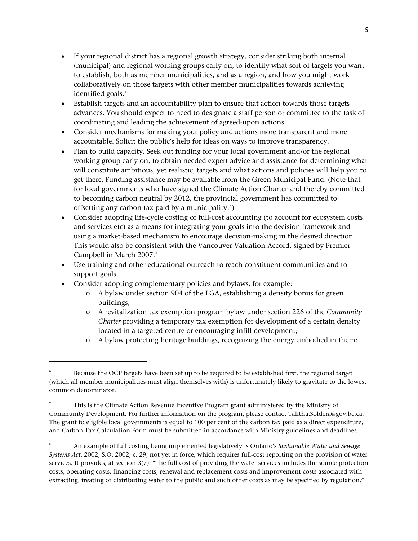- If your regional district has a regional growth strategy, consider striking both internal (municipal) and regional working groups early on, to identify what sort of targets you want to establish, both as member municipalities, and as a region, and how you might work collaboratively on those targets with other member municipalities towards achieving identified goals.<sup>[6](#page-4-0)</sup>
- Establish targets and an accountability plan to ensure that action towards those targets advances. You should expect to need to designate a staff person or committee to the task of coordinating and leading the achievement of agreed-upon actions.
- Consider mechanisms for making your policy and actions more transparent and more accountable. Solicit the public's help for ideas on ways to improve transparency.
- Plan to build capacity. Seek out funding for your local government and/or the regional working group early on, to obtain needed expert advice and assistance for determining what will constitute ambitious, yet realistic, targets and what actions and policies will help you to get there. Funding assistance may be available from the Green Municipal Fund. (Note that for local governments who have signed the Climate Action Charter and thereby committed to becoming carbon neutral by 2012, the provincial government has committed to offsetting any carbon tax paid by a municipality.<sup>[7](#page-4-1)</sup>)
- Consider adopting life-cycle costing or full-cost accounting (to account for ecosystem costs and services etc) as a means for integrating your goals into the decision framework and using a market-based mechanism to encourage decision-making in the desired direction. This would also be consistent with the Vancouver Valuation Accord, signed by Premier Campbell in March 2007.<sup>[8](#page-4-2)</sup>
- Use training and other educational outreach to reach constituent communities and to support goals.
- Consider adopting complementary policies and bylaws, for example:

-

- o A bylaw under section 904 of the LGA, establishing a density bonus for green buildings;
- o A revitalization tax exemption program bylaw under section 226 of the *Community Charter* providing a temporary tax exemption for development of a certain density located in a targeted centre or encouraging infill development;
- o A bylaw protecting heritage buildings, recognizing the energy embodied in them;

<span id="page-4-0"></span><sup>6</sup> Because the OCP targets have been set up to be required to be established first, the regional target (which all member municipalities must align themselves with) is unfortunately likely to gravitate to the lowest common denominator.

<span id="page-4-1"></span><sup>7</sup> This is the Climate Action Revenue Incentive Program grant administered by the Ministry of Community Development. For further information on the program, please contact [Talitha.Soldera@gov.bc.ca.](mailto:Talitha.Soldera@gov.bc.ca) The grant to eligible local governments is equal to 100 per cent of the carbon tax paid as a direct expenditure, and Carbon Tax Calculation Form must be submitted in accordance with Ministry guidelines and deadlines.

<span id="page-4-2"></span><sup>8</sup> An example of full costing being implemented legislatively is Ontario's *Sustainable Water and Sewage Systems Act*, 2002, S.O. 2002, c. 29, not yet in force, which requires full-cost reporting on the provision of water services. It provides, at section 3(7): "The full cost of providing the water services includes the source protection costs, operating costs, financing costs, renewal and replacement costs and improvement costs associated with extracting, treating or distributing water to the public and such other costs as may be specified by regulation."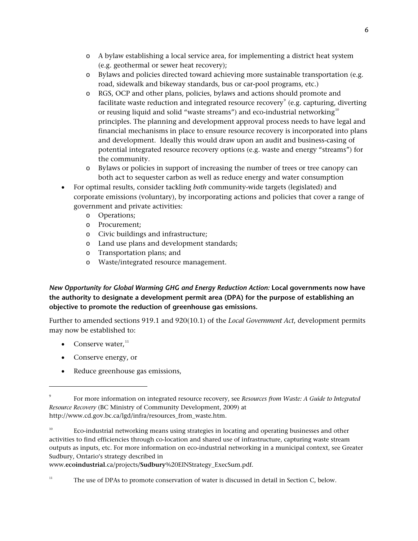- o A bylaw establishing a local service area, for implementing a district heat system (e.g. geothermal or sewer heat recovery);
- o Bylaws and policies directed toward achieving more sustainable transportation (e.g. road, sidewalk and bikeway standards, bus or car-pool programs, etc.)
- o RGS, OCP and other plans, policies, bylaws and actions should promote and facilitate waste reduction and integrated resource recovery $^{\circ}$  (e.g. capturing, diverting or reusing liquid and solid "waste streams") and eco-industrial networking<sup>[10](#page-5-1)</sup> principles. The planning and development approval process needs to have legal and financial mechanisms in place to ensure resource recovery is incorporated into plans and development. Ideally this would draw upon an audit and business-casing of potential integrated resource recovery options (e.g. waste and energy "streams") for the community.
- o Bylaws or policies in support of increasing the number of trees or tree canopy can both act to sequester carbon as well as reduce energy and water consumption
- For optimal results, consider tackling *both* community-wide targets (legislated) and corporate emissions (voluntary), by incorporating actions and policies that cover a range of government and private activities:
	- o Operations;
	- o Procurement;
	- o Civic buildings and infrastructure;
	- o Land use plans and development standards;
	- o Transportation plans; and
	- o Waste/integrated resource management.

*New Opportunity for Global Warming GHG and Energy Reduction Action:* **Local governments now have the authority to designate a development permit area (DPA) for the purpose of establishing an objective to promote the reduction of greenhouse gas emissions.** 

Further to amended sections 919.1 and 920(10.1) of the *Local Government Act*, development permits may now be established to:

• Conserve water, $^{11}$  $^{11}$  $^{11}$ 

-

- Conserve energy, or
- Reduce greenhouse gas emissions,

www.**ecoindustrial**.ca/projects/**Sudbury**[%20EINStrategy\\_ExecSum.pdf.](http://www.ecoindustrial.ca/projects/Sudbury%20EINStrategy_ExecSum.pdf)

<span id="page-5-0"></span><sup>9</sup> For more information on integrated resource recovery, see *Resources from Waste: A Guide to Integrated Resource Recovery* (BC Ministry of Community Development, 2009) at http://www.cd.gov.bc.ca/lgd/infra/resources\_from\_waste.htm.

<span id="page-5-1"></span><sup>10</sup> Eco-industrial networking means using strategies in locating and operating businesses and other activities to find efficiencies through co-location and shared use of infrastructure, capturing waste stream outputs as inputs, etc. For more information on eco-industrial networking in a municipal context, see Greater Sudbury, Ontario's strategy described in

<span id="page-5-2"></span> $11$  The use of DPAs to promote conservation of water is discussed in detail in Section C, below.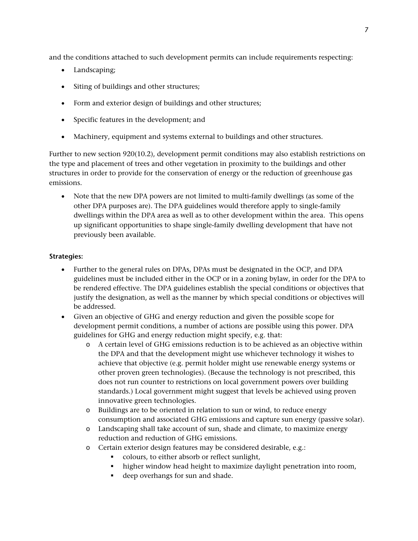and the conditions attached to such development permits can include requirements respecting:

- Landscaping;
- Siting of buildings and other structures;
- Form and exterior design of buildings and other structures;
- Specific features in the development; and
- Machinery, equipment and systems external to buildings and other structures.

Further to new section 920(10.2), development permit conditions may also establish restrictions on the type and placement of trees and other vegetation in proximity to the buildings and other structures in order to provide for the conservation of energy or the reduction of greenhouse gas emissions.

 Note that the new DPA powers are not limited to multi-family dwellings (as some of the other DPA purposes are). The DPA guidelines would therefore apply to single-family dwellings within the DPA area as well as to other development within the area. This opens up significant opportunities to shape single-family dwelling development that have not previously been available.

#### **Strategies:**

- Further to the general rules on DPAs, DPAs must be designated in the OCP, and DPA guidelines must be included either in the OCP or in a zoning bylaw, in order for the DPA to be rendered effective. The DPA guidelines establish the special conditions or objectives that justify the designation, as well as the manner by which special conditions or objectives will be addressed.
- Given an objective of GHG and energy reduction and given the possible scope for development permit conditions, a number of actions are possible using this power. DPA guidelines for GHG and energy reduction might specify, e.g. that:
	- o A certain level of GHG emissions reduction is to be achieved as an objective within the DPA and that the development might use whichever technology it wishes to achieve that objective (e.g. permit holder might use renewable energy systems or other proven green technologies). (Because the technology is not prescribed, this does not run counter to restrictions on local government powers over building standards.) Local government might suggest that levels be achieved using proven innovative green technologies.
	- o Buildings are to be oriented in relation to sun or wind, to reduce energy consumption and associated GHG emissions and capture sun energy (passive solar).
	- o Landscaping shall take account of sun, shade and climate, to maximize energy reduction and reduction of GHG emissions.
	- o Certain exterior design features may be considered desirable, e.g.:
		- colours, to either absorb or reflect sunlight,
		- higher window head height to maximize daylight penetration into room,
		- deep overhangs for sun and shade.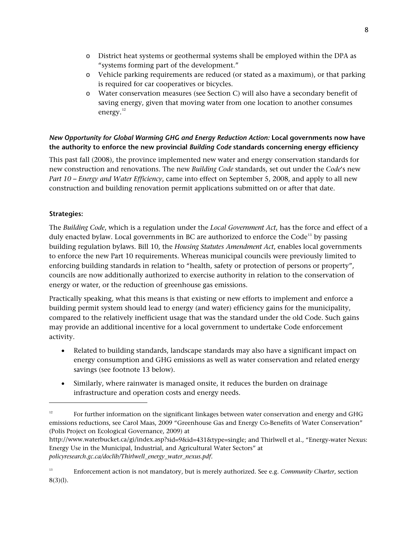- o District heat systems or geothermal systems shall be employed within the DPA as "systems forming part of the development."
- o Vehicle parking requirements are reduced (or stated as a maximum), or that parking is required for car cooperatives or bicycles.
- o Water conservation measures (see Section C) will also have a secondary benefit of saving energy, given that moving water from one location to another consumes energy.<sup>[12](#page-7-0)</sup>

# *New Opportunity for Global Warming GHG and Energy Reduction Action:* **Local governments now have the authority to enforce the new provincial** *Building Code* **standards concerning energy efficiency**

This past fall (2008), the province implemented new water and energy conservation standards for new construction and renovations. The new *Building Code* standards, set out under the *Code*'s new *Part 10 – Energy and Water Efficiency*, came into effect on September 5, 2008, and apply to all new construction and building renovation permit applications submitted on or after that date.

# **Strategies:**

-

The *Building Code*, which is a regulation under the *Local Government Act*, has the force and effect of a duly enacted bylaw. Local governments in BC are authorized to enforce the  $Code<sup>13</sup>$  $Code<sup>13</sup>$  $Code<sup>13</sup>$  by passing building regulation bylaws. Bill 10, the *Housing Statutes Amendment Act*, enables local governments to enforce the new Part 10 requirements. Whereas municipal councils were previously limited to enforcing building standards in relation to "health, safety or protection of persons or property", councils are now additionally authorized to exercise authority in relation to the conservation of energy or water, or the reduction of greenhouse gas emissions.

Practically speaking, what this means is that existing or new efforts to implement and enforce a building permit system should lead to energy (and water) efficiency gains for the municipality, compared to the relatively inefficient usage that was the standard under the old Code. Such gains may provide an additional incentive for a local government to undertake Code enforcement activity.

- Related to building standards, landscape standards may also have a significant impact on energy consumption and GHG emissions as well as water conservation and related energy savings (see footnote 13 below).
- Similarly, where rainwater is managed onsite, it reduces the burden on drainage infrastructure and operation costs and energy needs.

<span id="page-7-0"></span> $12$  For further information on the significant linkages between water conservation and energy and GHG emissions reductions, see Carol Maas, 2009 "Greenhouse Gas and Energy Co-Benefits of Water Conservation" (Polis Project on Ecological Governance, 2009) at

<http://www.waterbucket.ca/gi/index.asp?sid=9&id=431&type=single>; and Thirlwell et al., "Energy-water Nexus: Energy Use in the Municipal, Industrial, and Agricultural Water Sectors" at *policyresearch.gc.ca/doclib/Thirlwell\_energy\_water\_nexus.pdf.*

<span id="page-7-1"></span><sup>13</sup> Enforcement action is not mandatory, but is merely authorized. See e.g. *Community Charter*, section 8(3)(l).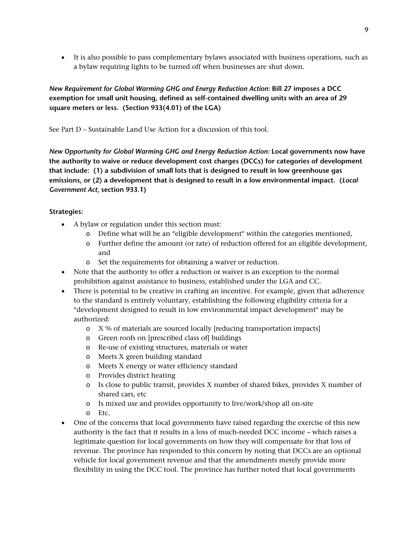It is also possible to pass complementary bylaws associated with business operations, such as a bylaw requiring lights to be turned off when businesses are shut down.

#### *New Requirement for Global Warming GHG and Energy Reduction Action:* **Bill 27 imposes a DCC exemption for small unit housing, defined as self-contained dwelling units with an area of 29 square meters or less. (Section 933(4.01) of the LGA)**

See Part D – Sustainable Land Use Action for a discussion of this tool.

*New Opportunity for Global Warming GHG and Energy Reduction Action:* **Local governments now have the authority to waive or reduce development cost charges (DCCs) for categories of development that include: (1) a subdivision of small lots that is designed to result in low greenhouse gas emissions, or (2) a development that is designed to result in a low environmental impact. (***Local Government Act,* **section 933.1)** 

#### **Strategies:**

- A bylaw or regulation under this section must:
	- o Define what will be an "eligible development" within the categories mentioned,
	- o Further define the amount (or rate) of reduction offered for an eligible development, and
	- o Set the requirements for obtaining a waiver or reduction.
- Note that the authority to offer a reduction or waiver is an exception to the normal prohibition against assistance to business, established under the LGA and CC.
- There is potential to be creative in crafting an incentive. For example, given that adherence to the standard is entirely voluntary, establishing the following eligibility criteria for a "development designed to result in low environmental impact development" may be authorized:
	- o X % of materials are sourced locally [reducing transportation impacts]
	- o Green roofs on [prescribed class of] buildings
	- o Re-use of existing structures, materials or water
	- o Meets X green building standard
	- o Meets X energy or water efficiency standard
	- o Provides district heating
	- o Is close to public transit, provides X number of shared bikes, provides X number of shared cars, etc
	- o Is mixed use and provides opportunity to live/work/shop all on-site
	- o Etc.
- One of the concerns that local governments have raised regarding the exercise of this new authority is the fact that it results in a loss of much-needed DCC income – which raises a legitimate question for local governments on how they will compensate for that loss of revenue. The province has responded to this concern by noting that DCCs are an optional vehicle for local government revenue and that the amendments merely provide more flexibility in using the DCC tool. The province has further noted that local governments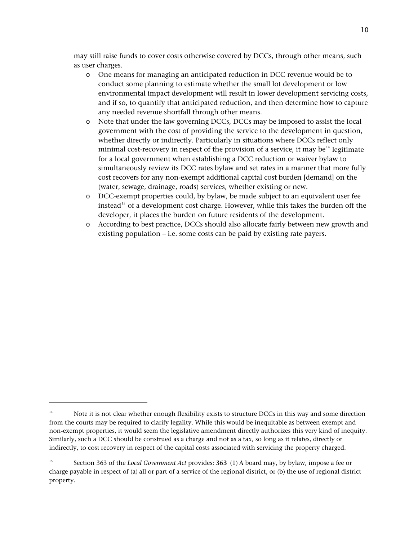may still raise funds to cover costs otherwise covered by DCCs, through other means, such as user charges.

- o One means for managing an anticipated reduction in DCC revenue would be to conduct some planning to estimate whether the small lot development or low environmental impact development will result in lower development servicing costs, and if so, to quantify that anticipated reduction, and then determine how to capture any needed revenue shortfall through other means.
- o Note that under the law governing DCCs, DCCs may be imposed to assist the local government with the cost of providing the service to the development in question, whether directly or indirectly. Particularly in situations where DCCs reflect only minimal cost-recovery in respect of the provision of a service, it may be<sup>[14](#page-9-0)</sup> legitimate for a local government when establishing a DCC reduction or waiver bylaw to simultaneously review its DCC rates bylaw and set rates in a manner that more fully cost recovers for any non-exempt additional capital cost burden [demand] on the (water, sewage, drainage, roads) services, whether existing or new.
- o DCC-exempt properties could, by bylaw, be made subject to an equivalent user fee instead<sup>[15](#page-9-1)</sup> of a development cost charge. However, while this takes the burden off the developer, it places the burden on future residents of the development.
- o According to best practice, DCCs should also allocate fairly between new growth and existing population – i.e. some costs can be paid by existing rate payers.

-

<span id="page-9-0"></span><sup>&</sup>lt;sup>14</sup> Note it is not clear whether enough flexibility exists to structure DCCs in this way and some direction from the courts may be required to clarify legality. While this would be inequitable as between exempt and non-exempt properties, it would seem the legislative amendment directly authorizes this very kind of inequity. Similarly, such a DCC should be construed as a charge and not as a tax, so long as it relates, directly or indirectly, to cost recovery in respect of the capital costs associated with servicing the property charged.

<span id="page-9-1"></span><sup>15</sup> Section 363 of the *Local Government Act* provides: **363** (1) A board may, by bylaw, impose a fee or charge payable in respect of (a) all or part of a service of the regional district, or (b) the use of regional district property.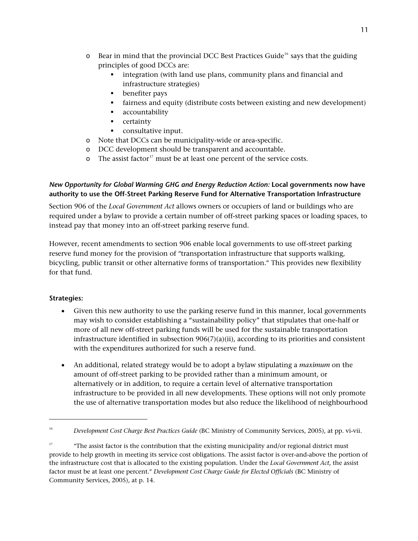- $\circ$  Bear in mind that the provincial DCC Best Practices Guide<sup>[16](#page-10-0)</sup> says that the guiding principles of good DCCs are:
	- integration (with land use plans, community plans and financial and infrastructure strategies)
	- **•** benefiter pays
	- fairness and equity (distribute costs between existing and new development)
	- accountability
	- **•** certainty
	- consultative input.
- o Note that DCCs can be municipality-wide or area-specific.
- o DCC development should be transparent and accountable.
- $\circ$  The assist factor<sup>[17](#page-10-1)</sup> must be at least one percent of the service costs.

#### *New Opportunity for Global Warming GHG and Energy Reduction Action:* **Local governments now have authority to use the Off-Street Parking Reserve Fund for Alternative Transportation Infrastructure**

Section 906 of the *Local Government Act* allows owners or occupiers of land or buildings who are required under a bylaw to provide a certain number of off-street parking spaces or loading spaces, to instead pay that money into an off-street parking reserve fund.

However, recent amendments to section 906 enable local governments to use off-street parking reserve fund money for the provision of "transportation infrastructure that supports walking, bicycling, public transit or other alternative forms of transportation." This provides new flexibility for that fund.

#### **Strategies:**

i,

- Given this new authority to use the parking reserve fund in this manner, local governments may wish to consider establishing a "sustainability policy" that stipulates that one-half or more of all new off-street parking funds will be used for the sustainable transportation infrastructure identified in subsection  $906(7)(a)(ii)$ , according to its priorities and consistent with the expenditures authorized for such a reserve fund.
- An additional, related strategy would be to adopt a bylaw stipulating a *maximum* on the amount of off-street parking to be provided rather than a minimum amount, or alternatively or in addition, to require a certain level of alternative transportation infrastructure to be provided in all new developments. These options will not only promote the use of alternative transportation modes but also reduce the likelihood of neighbourhood

<span id="page-10-0"></span><sup>16</sup> *Development Cost Charge Best Practices Guide* (BC Ministry of Community Services, 2005), at pp. vi-vii.

<span id="page-10-1"></span><sup>&</sup>lt;sup>17</sup> "The assist factor is the contribution that the existing municipality and/or regional district must provide to help growth in meeting its service cost obligations. The assist factor is over-and-above the portion of the infrastructure cost that is allocated to the existing population. Under the *Local Government Act*, the assist factor must be at least one percent." *Development Cost Charge Guide for Elected Officials* (BC Ministry of Community Services, 2005), at p. 14.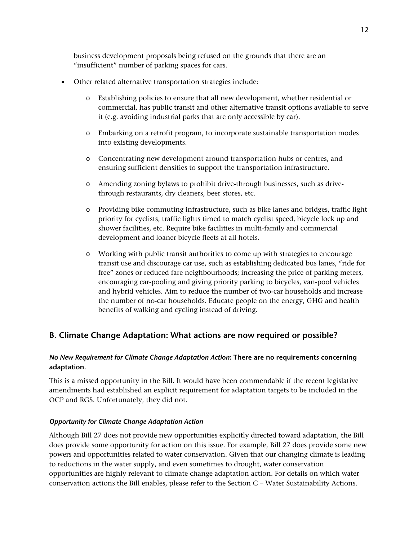business development proposals being refused on the grounds that there are an "insufficient" number of parking spaces for cars.

- Other related alternative transportation strategies include:
	- o Establishing policies to ensure that all new development, whether residential or commercial, has public transit and other alternative transit options available to serve it (e.g. avoiding industrial parks that are only accessible by car).
	- o Embarking on a retrofit program, to incorporate sustainable transportation modes into existing developments.
	- o Concentrating new development around transportation hubs or centres, and ensuring sufficient densities to support the transportation infrastructure.
	- o Amending zoning bylaws to prohibit drive-through businesses, such as drivethrough restaurants, dry cleaners, beer stores, etc.
	- o Providing bike commuting infrastructure, such as bike lanes and bridges, traffic light priority for cyclists, traffic lights timed to match cyclist speed, bicycle lock up and shower facilities, etc. Require bike facilities in multi-family and commercial development and loaner bicycle fleets at all hotels.
	- o Working with public transit authorities to come up with strategies to encourage transit use and discourage car use, such as establishing dedicated bus lanes, "ride for free" zones or reduced fare neighbourhoods; increasing the price of parking meters, encouraging car-pooling and giving priority parking to bicycles, van-pool vehicles and hybrid vehicles. Aim to reduce the number of two-car households and increase the number of no-car households. Educate people on the energy, GHG and health benefits of walking and cycling instead of driving.

# **B. Climate Change Adaptation: What actions are now required or possible?**

#### *No New Requirement for Climate Change Adaptation Action***: There are no requirements concerning adaptation.**

This is a missed opportunity in the Bill. It would have been commendable if the recent legislative amendments had established an explicit requirement for adaptation targets to be included in the OCP and RGS. Unfortunately, they did not.

#### *Opportunity for Climate Change Adaptation Action*

Although Bill 27 does not provide new opportunities explicitly directed toward adaptation, the Bill does provide some opportunity for action on this issue. For example, Bill 27 does provide some new powers and opportunities related to water conservation. Given that our changing climate is leading to reductions in the water supply, and even sometimes to drought, water conservation opportunities are highly relevant to climate change adaptation action. For details on which water conservation actions the Bill enables, please refer to the Section C – Water Sustainability Actions.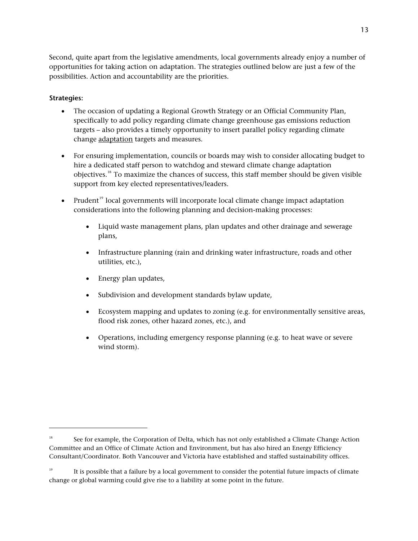Second, quite apart from the legislative amendments, local governments already enjoy a number of opportunities for taking action on adaptation. The strategies outlined below are just a few of the possibilities. Action and accountability are the priorities.

#### **Strategies:**

-

- The occasion of updating a Regional Growth Strategy or an Official Community Plan, specifically to add policy regarding climate change greenhouse gas emissions reduction targets – also provides a timely opportunity to insert parallel policy regarding climate change adaptation targets and measures.
- For ensuring implementation, councils or boards may wish to consider allocating budget to hire a dedicated staff person to watchdog and steward climate change adaptation objectives.[18](#page-12-0) To maximize the chances of success, this staff member should be given visible support from key elected representatives/leaders.
- Prudent<sup>[19](#page-12-1)</sup> local governments will incorporate local climate change impact adaptation considerations into the following planning and decision-making processes:
	- Liquid waste management plans, plan updates and other drainage and sewerage plans,
	- Infrastructure planning (rain and drinking water infrastructure, roads and other utilities, etc.),
	- Energy plan updates,
	- Subdivision and development standards bylaw update,
	- Ecosystem mapping and updates to zoning (e.g. for environmentally sensitive areas, flood risk zones, other hazard zones, etc.), and
	- Operations, including emergency response planning (e.g. to heat wave or severe wind storm).

<span id="page-12-0"></span><sup>&</sup>lt;sup>18</sup> See for example, the Corporation of Delta, which has not only established a Climate Change Action Committee and an Office of Climate Action and Environment, but has also hired an Energy Efficiency Consultant/Coordinator. Both Vancouver and Victoria have established and staffed sustainability offices.

<span id="page-12-1"></span>It is possible that a failure by a local government to consider the potential future impacts of climate change or global warming could give rise to a liability at some point in the future.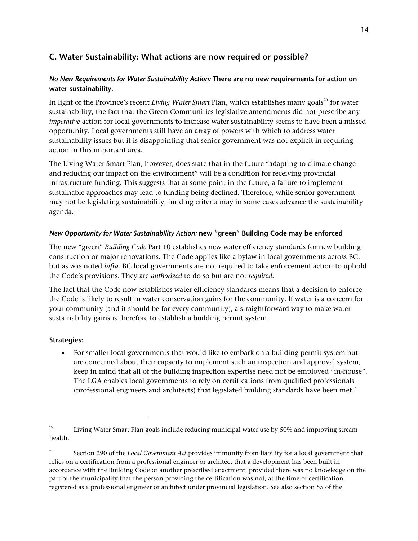# **C. Water Sustainability: What actions are now required or possible?**

# *No New Requirements for Water Sustainability Action:* **There are no new requirements for action on water sustainability.**

In light of the Province's recent *Living Water Smart* Plan, which establishes many goals<sup>[20](#page-13-0)</sup> for water sustainability, the fact that the Green Communities legislative amendments did not prescribe any *imperative* action for local governments to increase water sustainability seems to have been a missed opportunity. Local governments still have an array of powers with which to address water sustainability issues but it is disappointing that senior government was not explicit in requiring action in this important area.

The Living Water Smart Plan, however, does state that in the future "adapting to climate change and reducing our impact on the environment" will be a condition for receiving provincial infrastructure funding. This suggests that at some point in the future, a failure to implement sustainable approaches may lead to funding being declined. Therefore, while senior government may not be legislating sustainability, funding criteria may in some cases advance the sustainability agenda.

#### *New Opportunity for Water Sustainability Action:* **new "green" Building Code may be enforced**

The new "green" *Building Code* Part 10 establishes new water efficiency standards for new building construction or major renovations. The Code applies like a bylaw in local governments across BC, but as was noted *infra.* BC local governments are not required to take enforcement action to uphold the Code's provisions. They are *authorized* to do so but are not *required*.

The fact that the Code now establishes water efficiency standards means that a decision to enforce the Code is likely to result in water conservation gains for the community. If water is a concern for your community (and it should be for every community), a straightforward way to make water sustainability gains is therefore to establish a building permit system.

#### **Strategies:**

-

 For smaller local governments that would like to embark on a building permit system but are concerned about their capacity to implement such an inspection and approval system, keep in mind that all of the building inspection expertise need not be employed "in-house". The LGA enables local governments to rely on certifications from qualified professionals (professional engineers and architects) that legislated building standards have been met. $^{21}$  $^{21}$  $^{21}$ 

<span id="page-13-0"></span> $20$  Living Water Smart Plan goals include reducing municipal water use by 50% and improving stream health.

<span id="page-13-1"></span><sup>&</sup>lt;sup>21</sup> Section 290 of the *Local Government Act* provides immunity from liability for a local government that relies on a certification from a professional engineer or architect that a development has been built in accordance with the Building Code or another prescribed enactment, provided there was no knowledge on the part of the municipality that the person providing the certification was not, at the time of certification, registered as a professional engineer or architect under provincial legislation. See also section 55 of the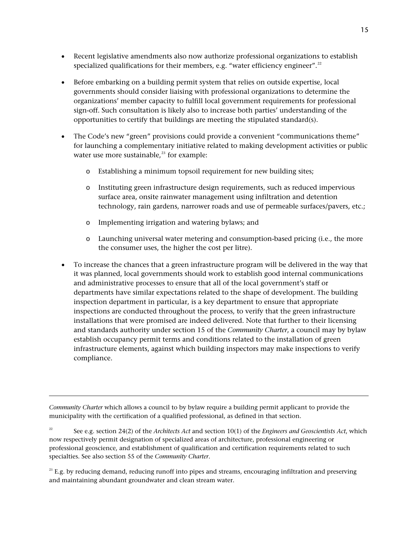- Recent legislative amendments also now authorize professional organizations to establish specialized qualifications for their members, e.g. "water efficiency engineer".<sup>[22](#page-14-0)</sup>
- Before embarking on a building permit system that relies on outside expertise, local governments should consider liaising with professional organizations to determine the organizations' member capacity to fulfill local government requirements for professional sign-off. Such consultation is likely also to increase both parties' understanding of the opportunities to certify that buildings are meeting the stipulated standard(s).
- The Code's new "green" provisions could provide a convenient "communications theme" for launching a complementary initiative related to making development activities or public water use more sustainable, $23$  for example:
	- o Establishing a minimum topsoil requirement for new building sites;
	- o Instituting green infrastructure design requirements, such as reduced impervious surface area, onsite rainwater management using infiltration and detention technology, rain gardens, narrower roads and use of permeable surfaces/pavers, etc.;
	- o Implementing irrigation and watering bylaws; and
	- o Launching universal water metering and consumption-based pricing (i.e., the more the consumer uses, the higher the cost per litre).
- To increase the chances that a green infrastructure program will be delivered in the way that it was planned, local governments should work to establish good internal communications and administrative processes to ensure that all of the local government's staff or departments have similar expectations related to the shape of development. The building inspection department in particular, is a key department to ensure that appropriate inspections are conducted throughout the process, to verify that the green infrastructure installations that were promised are indeed delivered. Note that further to their licensing and standards authority under section 15 of the *Community Charter*, a council may by bylaw establish occupancy permit terms and conditions related to the installation of green infrastructure elements, against which building inspectors may make inspections to verify compliance.

*Community Charter* which allows a council to by bylaw require a building permit applicant to provide the municipality with the certification of a qualified professional, as defined in that section.

i,

<span id="page-14-0"></span>22 See e.g. section 24(2) of the *Architects Act* and section 10(1) of the *Engineers and Geoscientists Act*, which now respectively permit designation of specialized areas of architecture, professional engineering or professional geoscience, and establishment of qualification and certification requirements related to such specialties. See also section 55 of the *Community Charter*.

<span id="page-14-1"></span> $^{23}$  E.g. by reducing demand, reducing runoff into pipes and streams, encouraging infiltration and preserving and maintaining abundant groundwater and clean stream water.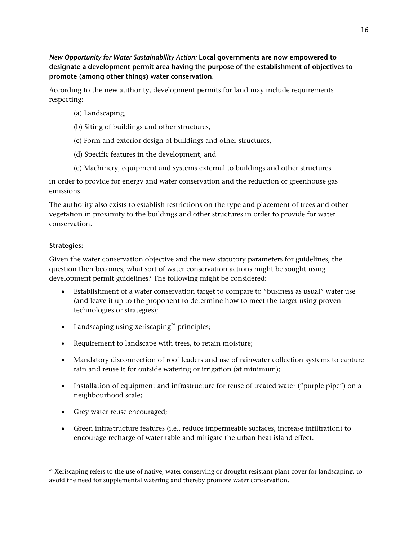*New Opportunity for Water Sustainability Action:* **Local governments are now empowered to designate a development permit area having the purpose of the establishment of objectives to promote (among other things) water conservation.** 

According to the new authority, development permits for land may include requirements respecting:

- (a) Landscaping,
- (b) Siting of buildings and other structures,
- (c) Form and exterior design of buildings and other structures,
- (d) Specific features in the development, and
- (e) Machinery, equipment and systems external to buildings and other structures

in order to provide for energy and water conservation and the reduction of greenhouse gas emissions.

The authority also exists to establish restrictions on the type and placement of trees and other vegetation in proximity to the buildings and other structures in order to provide for water conservation.

#### **Strategies:**

i,

Given the water conservation objective and the new statutory parameters for guidelines, the question then becomes, what sort of water conservation actions might be sought using development permit guidelines? The following might be considered:

- Establishment of a water conservation target to compare to "business as usual" water use (and leave it up to the proponent to determine how to meet the target using proven technologies or strategies);
- Landscaping using xeriscaping $24$  principles;
- Requirement to landscape with trees, to retain moisture;
- Mandatory disconnection of roof leaders and use of rainwater collection systems to capture rain and reuse it for outside watering or irrigation (at minimum);
- Installation of equipment and infrastructure for reuse of treated water ("purple pipe") on a neighbourhood scale;
- Grey water reuse encouraged;
- Green infrastructure features (i.e., reduce impermeable surfaces, increase infiltration) to encourage recharge of water table and mitigate the urban heat island effect.

<span id="page-15-0"></span> $24$  Xeriscaping refers to the use of native, water conserving or drought resistant plant cover for landscaping, to avoid the need for supplemental watering and thereby promote water conservation.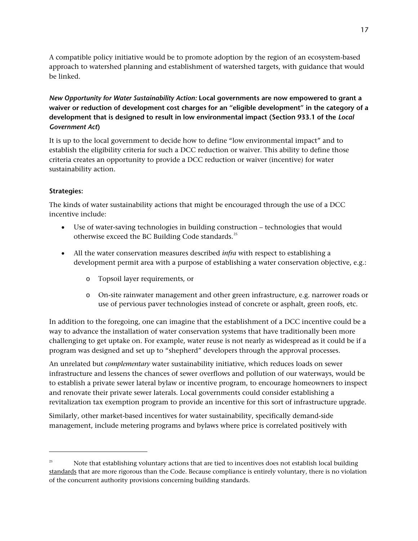A compatible policy initiative would be to promote adoption by the region of an ecosystem-based approach to watershed planning and establishment of watershed targets, with guidance that would be linked.

*New Opportunity for Water Sustainability Action:* **Local governments are now empowered to grant a waiver or reduction of development cost charges for an "eligible development" in the category of a development that is designed to result in low environmental impact (Section 933.1 of the** *Local Government Act***)** 

It is up to the local government to decide how to define "low environmental impact" and to establish the eligibility criteria for such a DCC reduction or waiver. This ability to define those criteria creates an opportunity to provide a DCC reduction or waiver (incentive) for water sustainability action.

#### **Strategies:**

-

The kinds of water sustainability actions that might be encouraged through the use of a DCC incentive include:

- Use of water-saving technologies in building construction technologies that would otherwise exceed the BC Building Code standards.<sup>[25](#page-16-0)</sup>
- All the water conservation measures described *infra* with respect to establishing a development permit area with a purpose of establishing a water conservation objective, e.g.:
	- o Topsoil layer requirements, or
	- o On-site rainwater management and other green infrastructure, e.g. narrower roads or use of pervious paver technologies instead of concrete or asphalt, green roofs, etc.

In addition to the foregoing, one can imagine that the establishment of a DCC incentive could be a way to advance the installation of water conservation systems that have traditionally been more challenging to get uptake on. For example, water reuse is not nearly as widespread as it could be if a program was designed and set up to "shepherd" developers through the approval processes.

An unrelated but *complementary* water sustainability initiative, which reduces loads on sewer infrastructure and lessens the chances of sewer overflows and pollution of our waterways, would be to establish a private sewer lateral bylaw or incentive program, to encourage homeowners to inspect and renovate their private sewer laterals. Local governments could consider establishing a revitalization tax exemption program to provide an incentive for this sort of infrastructure upgrade.

Similarly, other market-based incentives for water sustainability, specifically demand-side management, include metering programs and bylaws where price is correlated positively with

<span id="page-16-0"></span><sup>&</sup>lt;sup>25</sup> Note that establishing voluntary actions that are tied to incentives does not establish local building standards that are more rigorous than the Code. Because compliance is entirely voluntary, there is no violation of the concurrent authority provisions concerning building standards.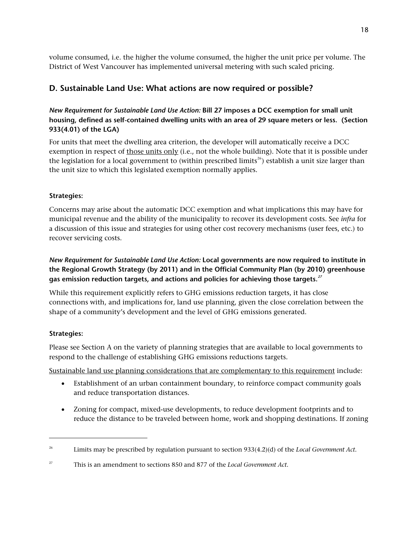volume consumed, i.e. the higher the volume consumed, the higher the unit price per volume. The District of West Vancouver has implemented universal metering with such scaled pricing.

# **D. Sustainable Land Use: What actions are now required or possible?**

# *New Requirement for Sustainable Land Use Action:* **Bill 27 imposes a DCC exemption for small unit housing, defined as self-contained dwelling units with an area of 29 square meters or less. (Section 933(4.01) of the LGA)**

For units that meet the dwelling area criterion, the developer will automatically receive a DCC exemption in respect of those units only (i.e., not the whole building). Note that it is possible under the legislation for a local government to (within prescribed limits<sup>[26](#page-17-0)</sup>) establish a unit size larger than the unit size to which this legislated exemption normally applies.

#### **Strategies:**

Concerns may arise about the automatic DCC exemption and what implications this may have for municipal revenue and the ability of the municipality to recover its development costs. See *infra* for a discussion of this issue and strategies for using other cost recovery mechanisms (user fees, etc.) to recover servicing costs.

# *New Requirement for Sustainable Land Use Action:* **Local governments are now required to institute in the Regional Growth Strategy (by 2011) and in the Official Community Plan (by 2010) greenhouse gas emission reduction targets, and actions and policies for achieving those targets.***[27](#page-17-1)*

While this requirement explicitly refers to GHG emissions reduction targets, it has close connections with, and implications for, land use planning, given the close correlation between the shape of a community's development and the level of GHG emissions generated.

#### **Strategies:**

-

Please see Section A on the variety of planning strategies that are available to local governments to respond to the challenge of establishing GHG emissions reductions targets.

Sustainable land use planning considerations that are complementary to this requirement include:

- Establishment of an urban containment boundary, to reinforce compact community goals and reduce transportation distances.
- Zoning for compact, mixed-use developments, to reduce development footprints and to reduce the distance to be traveled between home, work and shopping destinations. If zoning

<span id="page-17-0"></span><sup>26</sup> Limits may be prescribed by regulation pursuant to section 933(4.2)(d) of the *Local Government Act*.

<span id="page-17-1"></span><sup>27</sup> This is an amendment to sections 850 and 877 of the *Local Government Act*.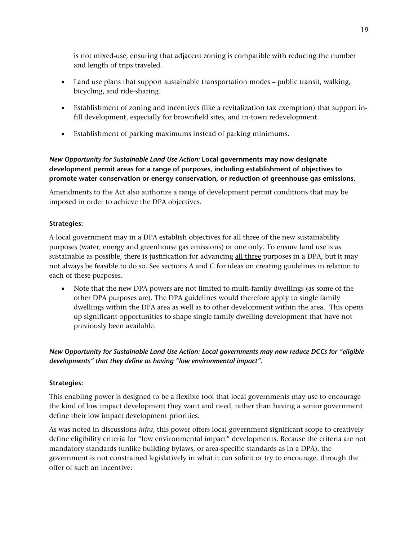is not mixed-use, ensuring that adjacent zoning is compatible with reducing the number and length of trips traveled.

- Land use plans that support sustainable transportation modes public transit, walking, bicycling, and ride-sharing.
- Establishment of zoning and incentives (like a revitalization tax exemption) that support infill development, especially for brownfield sites, and in-town redevelopment.
- Establishment of parking maximums instead of parking minimums.

# *New Opportunity for Sustainable Land Use Action:* **Local governments may now designate development permit areas for a range of purposes, including establishment of objectives to promote water conservation or energy conservation, or reduction of greenhouse gas emissions.**

Amendments to the Act also authorize a range of development permit conditions that may be imposed in order to achieve the DPA objectives.

#### **Strategies:**

A local government may in a DPA establish objectives for all three of the new sustainability purposes (water, energy and greenhouse gas emissions) or one only. To ensure land use is as sustainable as possible, there is justification for advancing all three purposes in a DPA, but it may not always be feasible to do so. See sections A and C for ideas on creating guidelines in relation to each of these purposes.

 Note that the new DPA powers are not limited to multi-family dwellings (as some of the other DPA purposes are). The DPA guidelines would therefore apply to single family dwellings within the DPA area as well as to other development within the area. This opens up significant opportunities to shape single family dwelling development that have not previously been available.

#### *New Opportunity for Sustainable Land Use Action: Local governments may now reduce DCCs for "eligible developments" that they define as having "low environmental impact".*

#### **Strategies:**

This enabling power is designed to be a flexible tool that local governments may use to encourage the kind of low impact development they want and need, rather than having a senior government define their low impact development priorities.

As was noted in discussions *infra*, this power offers local government significant scope to creatively define eligibility criteria for "low environmental impact" developments. Because the criteria are not mandatory standards (unlike building bylaws, or area-specific standards as in a DPA), the government is not constrained legislatively in what it can solicit or try to encourage, through the offer of such an incentive: